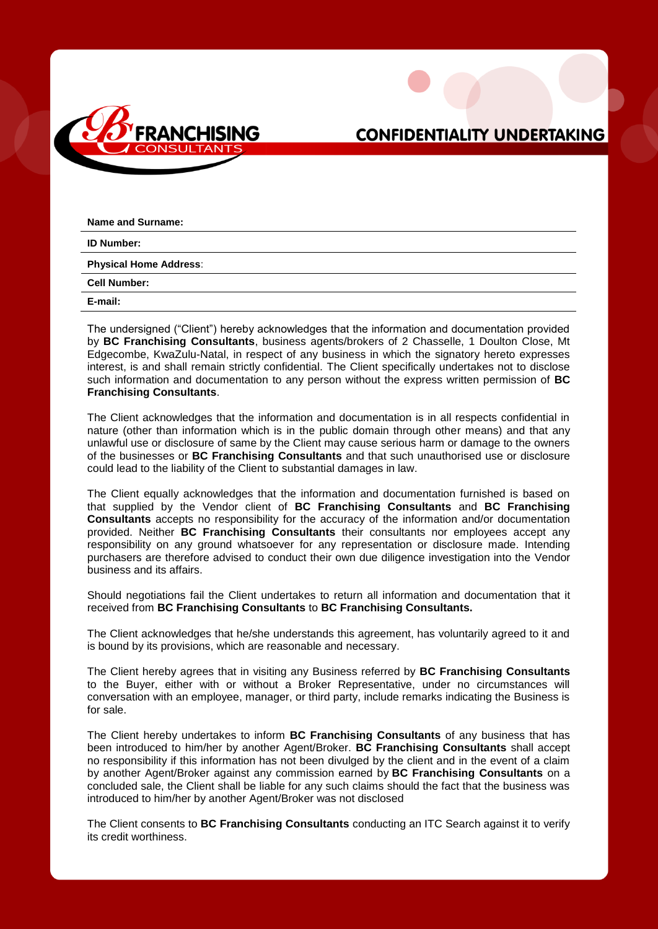

## **CONFIDENTIALITY UNDERTAKING**

| Name and Surname:             |
|-------------------------------|
| <b>ID Number:</b>             |
| <b>Physical Home Address:</b> |
| <b>Cell Number:</b>           |
| E-mail:                       |

The undersigned ("Client") hereby acknowledges that the information and documentation provided by **BC Franchising Consultants**, business agents/brokers of 2 Chasselle, 1 Doulton Close, Mt Edgecombe, KwaZulu-Natal, in respect of any business in which the signatory hereto expresses interest, is and shall remain strictly confidential. The Client specifically undertakes not to disclose such information and documentation to any person without the express written permission of **BC Franchising Consultants**.

The Client acknowledges that the information and documentation is in all respects confidential in nature (other than information which is in the public domain through other means) and that any unlawful use or disclosure of same by the Client may cause serious harm or damage to the owners of the businesses or **BC Franchising Consultants** and that such unauthorised use or disclosure could lead to the liability of the Client to substantial damages in law.

The Client equally acknowledges that the information and documentation furnished is based on that supplied by the Vendor client of **BC Franchising Consultants** and **BC Franchising Consultants** accepts no responsibility for the accuracy of the information and/or documentation provided. Neither **BC Franchising Consultants** their consultants nor employees accept any responsibility on any ground whatsoever for any representation or disclosure made. Intending purchasers are therefore advised to conduct their own due diligence investigation into the Vendor business and its affairs.

Should negotiations fail the Client undertakes to return all information and documentation that it received from **BC Franchising Consultants** to **BC Franchising Consultants.**

The Client acknowledges that he/she understands this agreement, has voluntarily agreed to it and is bound by its provisions, which are reasonable and necessary.

The Client hereby agrees that in visiting any Business referred by **BC Franchising Consultants** to the Buyer, either with or without a Broker Representative, under no circumstances will conversation with an employee, manager, or third party, include remarks indicating the Business is for sale.

The Client hereby undertakes to inform **BC Franchising Consultants** of any business that has been introduced to him/her by another Agent/Broker. **BC Franchising Consultants** shall accept no responsibility if this information has not been divulged by the client and in the event of a claim by another Agent/Broker against any commission earned by **BC Franchising Consultants** on a concluded sale, the Client shall be liable for any such claims should the fact that the business was introduced to him/her by another Agent/Broker was not disclosed

The Client consents to **BC Franchising Consultants** conducting an ITC Search against it to verify its credit worthiness.